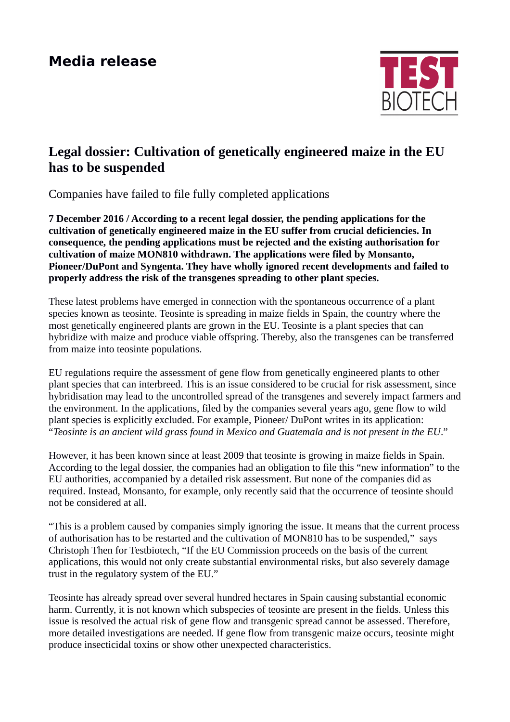## **Media release**



## **Legal dossier: Cultivation of genetically engineered maize in the EU has to be suspended**

Companies have failed to file fully completed applications

**7 December 2016 / According to a recent legal dossier, the pending applications for the cultivation of genetically engineered maize in the EU suffer from crucial deficiencies. In consequence, the pending applications must be rejected and the existing authorisation for cultivation of maize MON810 withdrawn. The applications were filed by Monsanto, Pioneer/DuPont and Syngenta. They have wholly ignored recent developments and failed to properly address the risk of the transgenes spreading to other plant species.** 

These latest problems have emerged in connection with the spontaneous occurrence of a plant species known as teosinte. Teosinte is spreading in maize fields in Spain, the country where the most genetically engineered plants are grown in the EU. Teosinte is a plant species that can hybridize with maize and produce viable offspring. Thereby, also the transgenes can be transferred from maize into teosinte populations.

EU regulations require the assessment of gene flow from genetically engineered plants to other plant species that can interbreed. This is an issue considered to be crucial for risk assessment, since hybridisation may lead to the uncontrolled spread of the transgenes and severely impact farmers and the environment. In the applications, filed by the companies several years ago, gene flow to wild plant species is explicitly excluded. For example, Pioneer/ DuPont writes in its application: "*Teosinte is an ancient wild grass found in Mexico and Guatemala and is not present in the EU*."

However, it has been known since at least 2009 that teosinte is growing in maize fields in Spain. According to the legal dossier, the companies had an obligation to file this "new information" to the EU authorities, accompanied by a detailed risk assessment. But none of the companies did as required. Instead, Monsanto, for example, only recently said that the occurrence of teosinte should not be considered at all.

"This is a problem caused by companies simply ignoring the issue. It means that the current process of authorisation has to be restarted and the cultivation of MON810 has to be suspended," says Christoph Then for Testbiotech, "If the EU Commission proceeds on the basis of the current applications, this would not only create substantial environmental risks, but also severely damage trust in the regulatory system of the EU."

Teosinte has already spread over several hundred hectares in Spain causing substantial economic harm. Currently, it is not known which subspecies of teosinte are present in the fields. Unless this issue is resolved the actual risk of gene flow and transgenic spread cannot be assessed. Therefore, more detailed investigations are needed. If gene flow from transgenic maize occurs, teosinte might produce insecticidal toxins or show other unexpected characteristics.